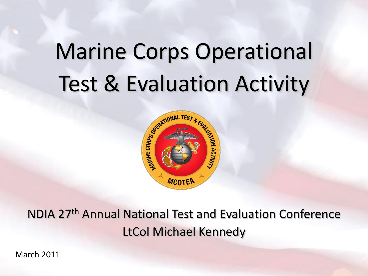# Marine Corps Operational Test & Evaluation Activity



NDIA 27th Annual National Test and Evaluation Conference LtCol Michael Kennedy

March 2011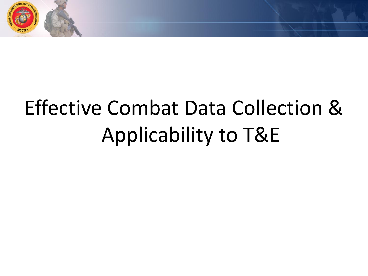

# Effective Combat Data Collection & Applicability to T&E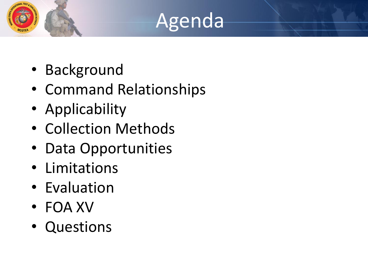## Agenda

- Background
- Command Relationships
- Applicability
- Collection Methods
- Data Opportunities
- Limitations
- Evaluation
- FOA XV
- Questions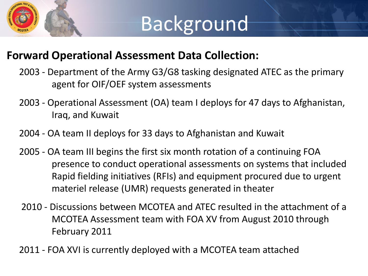

#### **Forward Operational Assessment Data Collection:**

- 2003 Department of the Army G3/G8 tasking designated ATEC as the primary agent for OIF/OEF system assessments
- 2003 Operational Assessment (OA) team I deploys for 47 days to Afghanistan, Iraq, and Kuwait
- 2004 OA team II deploys for 33 days to Afghanistan and Kuwait
- 2005 OA team III begins the first six month rotation of a continuing FOA presence to conduct operational assessments on systems that included Rapid fielding initiatives (RFIs) and equipment procured due to urgent materiel release (UMR) requests generated in theater
- 2010 Discussions between MCOTEA and ATEC resulted in the attachment of a MCOTEA Assessment team with FOA XV from August 2010 through February 2011
- 2011 FOA XVI is currently deployed with a MCOTEA team attached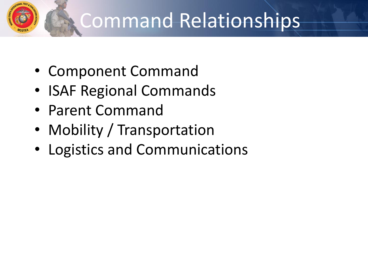## Command Relationships

- Component Command
- ISAF Regional Commands
- Parent Command
- Mobility / Transportation
- Logistics and Communications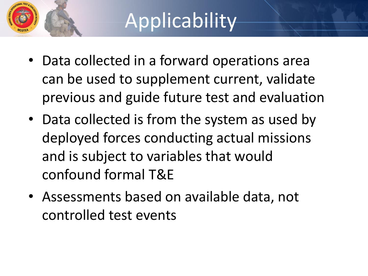## **Applicability**

- Data collected in a forward operations area can be used to supplement current, validate previous and guide future test and evaluation
- Data collected is from the system as used by deployed forces conducting actual missions and is subject to variables that would confound formal T&E
- Assessments based on available data, not controlled test events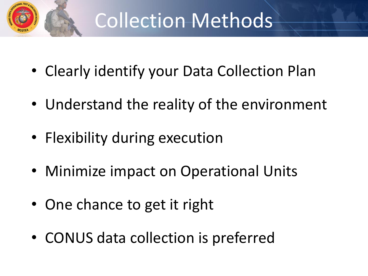

#### Collection Methods

- Clearly identify your Data Collection Plan
- Understand the reality of the environment
- Flexibility during execution
- Minimize impact on Operational Units
- One chance to get it right
- CONUS data collection is preferred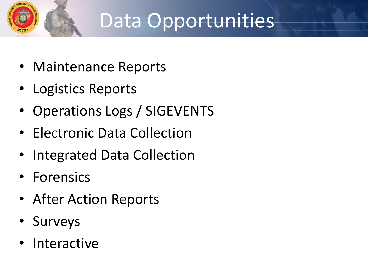# Data Opportunities

- Maintenance Reports
- Logistics Reports
- Operations Logs / SIGEVENTS
- Electronic Data Collection
- Integrated Data Collection
- Forensics
- After Action Reports
- Surveys
- **Interactive**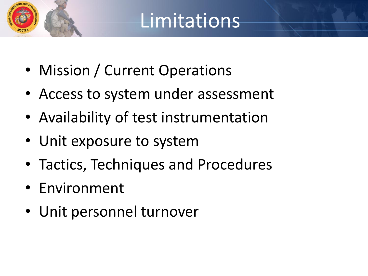### Limitations

- Mission / Current Operations
- Access to system under assessment
- Availability of test instrumentation
- Unit exposure to system
- Tactics, Techniques and Procedures
- Environment
- Unit personnel turnover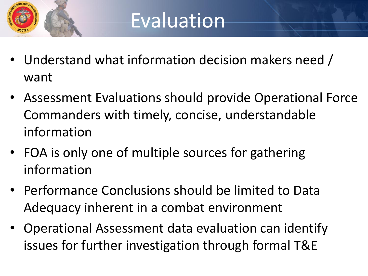

- Understand what information decision makers need / want
- Assessment Evaluations should provide Operational Force Commanders with timely, concise, understandable information
- FOA is only one of multiple sources for gathering information
- Performance Conclusions should be limited to Data Adequacy inherent in a combat environment
- Operational Assessment data evaluation can identify issues for further investigation through formal T&E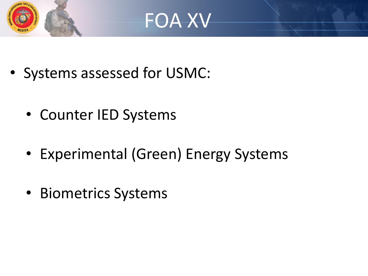



- Systems assessed for USMC:
	- Counter IED Systems
	- Experimental (Green) Energy Systems
	- Biometrics Systems